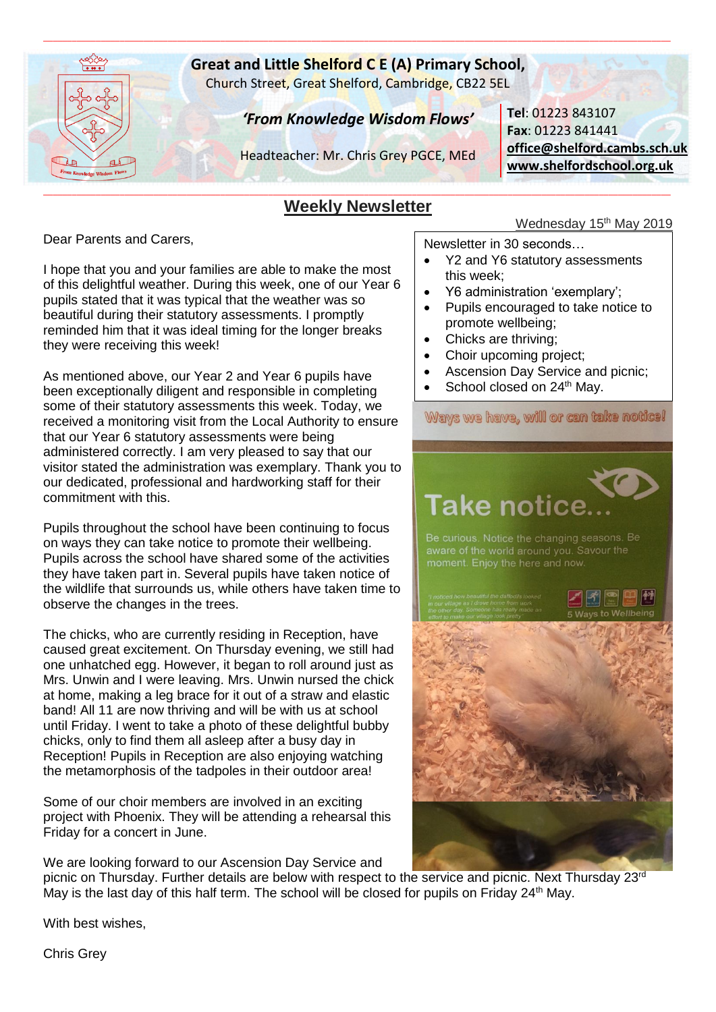

# **Great and Little Shelford C E (A) Primary School,**

\_\_\_\_\_\_\_\_\_\_\_\_\_\_\_\_\_\_\_\_\_\_\_\_\_\_\_\_\_\_\_\_\_\_\_\_\_\_\_\_\_\_\_\_\_\_\_\_\_\_\_\_\_\_\_\_\_\_\_\_\_\_\_\_\_\_\_\_\_\_\_\_\_\_\_\_\_\_\_\_\_\_\_\_\_\_\_\_\_\_\_\_\_\_\_\_\_\_\_\_\_\_\_\_\_\_\_\_\_\_\_\_\_\_\_\_\_\_\_\_\_\_\_\_\_\_\_\_\_\_\_

Church Street, Great Shelford, Cambridge, CB22 5EL

# *'From Knowledge Wisdom Flows'*

Headteacher: Mr. Chris Grey PGCE, MEd

**Tel**: 01223 843107 **Fax**: 01223 841441 **[office@shelford.cambs.sch.uk](mailto:office@shelford.cambs.sch.uk) [www.shelfordschool.org.uk](http://www.shelfordschool.org.uk/)**

#### \_\_\_\_\_\_\_\_\_\_\_\_\_\_\_\_\_\_\_\_\_\_\_\_\_\_\_\_\_\_\_\_\_\_\_\_\_\_\_\_\_\_\_\_\_\_\_\_\_\_\_\_\_\_\_\_\_\_\_\_\_\_\_\_\_\_\_\_\_\_\_\_\_\_\_\_\_\_\_\_\_\_\_\_\_\_\_\_\_\_\_\_\_\_\_\_\_\_\_\_\_\_\_\_\_\_\_\_\_\_\_\_\_\_\_\_\_\_\_\_\_\_\_\_\_\_\_\_\_\_\_ **Weekly Newsletter**

Dear Parents and Carers,

I hope that you and your families are able to make the most of this delightful weather. During this week, one of our Year 6 pupils stated that it was typical that the weather was so beautiful during their statutory assessments. I promptly reminded him that it was ideal timing for the longer breaks they were receiving this week!

As mentioned above, our Year 2 and Year 6 pupils have been exceptionally diligent and responsible in completing some of their statutory assessments this week. Today, we received a monitoring visit from the Local Authority to ensure that our Year 6 statutory assessments were being administered correctly. I am very pleased to say that our visitor stated the administration was exemplary. Thank you to our dedicated, professional and hardworking staff for their commitment with this.

Pupils throughout the school have been continuing to focus on ways they can take notice to promote their wellbeing. Pupils across the school have shared some of the activities they have taken part in. Several pupils have taken notice of the wildlife that surrounds us, while others have taken time to observe the changes in the trees.

The chicks, who are currently residing in Reception, have caused great excitement. On Thursday evening, we still had one unhatched egg. However, it began to roll around just as Mrs. Unwin and I were leaving. Mrs. Unwin nursed the chick at home, making a leg brace for it out of a straw and elastic band! All 11 are now thriving and will be with us at school until Friday. I went to take a photo of these delightful bubby chicks, only to find them all asleep after a busy day in Reception! Pupils in Reception are also enjoying watching the metamorphosis of the tadpoles in their outdoor area!

Some of our choir members are involved in an exciting project with Phoenix. They will be attending a rehearsal this Friday for a concert in June.

We are looking forward to our Ascension Day Service and

# Wednesday 15<sup>th</sup> May 2019

Newsletter in 30 seconds…

- Y2 and Y6 statutory assessments this week;
- Y6 administration 'exemplary';
- Pupils encouraged to take notice to promote wellbeing;
- Chicks are thriving:
- Choir upcoming project;
- Ascension Day Service and picnic;
- School closed on 24<sup>th</sup> May.

Ways we have, will or can take notice!

# **Take notice**

moment. Enjoy the here and now



picnic on Thursday. Further details are below with respect to the service and picnic. Next Thursday 23rd May is the last day of this half term. The school will be closed for pupils on Friday  $24<sup>th</sup>$  May.

With best wishes,

Chris Grey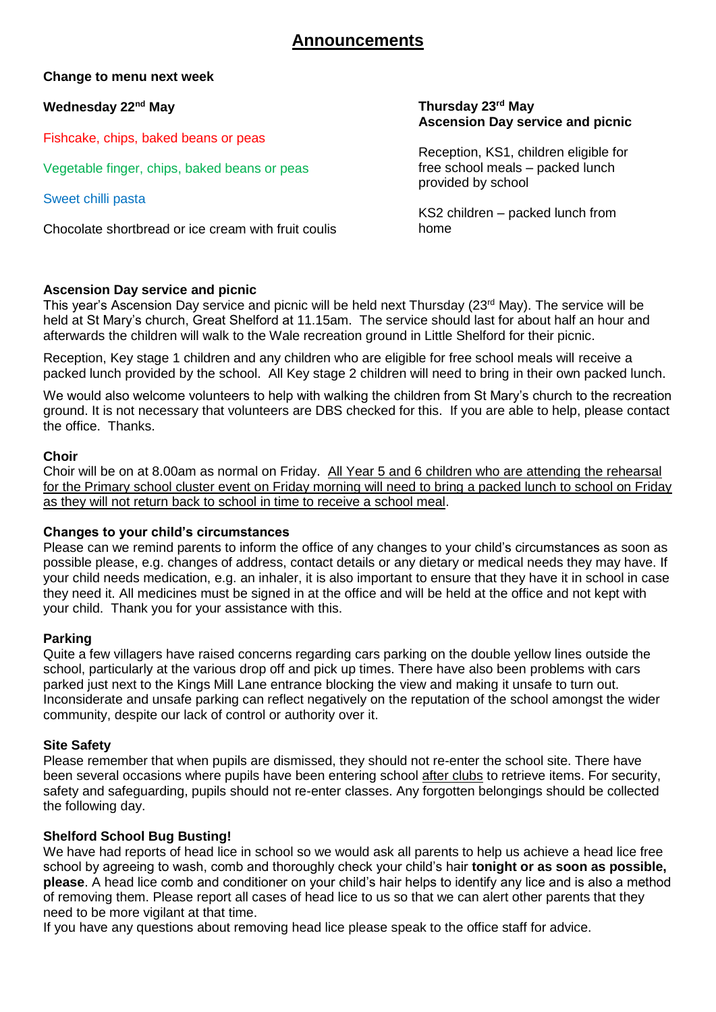# **Announcements**

**Change to menu next week**

**Wednesday 22nd May**

Fishcake, chips, baked beans or peas

Vegetable finger, chips, baked beans or peas

Sweet chilli pasta

Chocolate shortbread or ice cream with fruit coulis

#### **Thursday 23rd May Ascension Day service and picnic**

Reception, KS1, children eligible for free school meals – packed lunch provided by school

KS2 children – packed lunch from home

# **Ascension Day service and picnic**

This year's Ascension Day service and picnic will be held next Thursday (23<sup>rd</sup> May). The service will be held at St Mary's church, Great Shelford at 11.15am. The service should last for about half an hour and afterwards the children will walk to the Wale recreation ground in Little Shelford for their picnic.

Reception, Key stage 1 children and any children who are eligible for free school meals will receive a packed lunch provided by the school. All Key stage 2 children will need to bring in their own packed lunch.

We would also welcome volunteers to help with walking the children from St Mary's church to the recreation ground. It is not necessary that volunteers are DBS checked for this. If you are able to help, please contact the office. Thanks.

# **Choir**

Choir will be on at 8.00am as normal on Friday. All Year 5 and 6 children who are attending the rehearsal for the Primary school cluster event on Friday morning will need to bring a packed lunch to school on Friday as they will not return back to school in time to receive a school meal.

#### **Changes to your child's circumstances**

Please can we remind parents to inform the office of any changes to your child's circumstances as soon as possible please, e.g. changes of address, contact details or any dietary or medical needs they may have. If your child needs medication, e.g. an inhaler, it is also important to ensure that they have it in school in case they need it. All medicines must be signed in at the office and will be held at the office and not kept with your child. Thank you for your assistance with this.

#### **Parking**

Quite a few villagers have raised concerns regarding cars parking on the double yellow lines outside the school, particularly at the various drop off and pick up times. There have also been problems with cars parked just next to the Kings Mill Lane entrance blocking the view and making it unsafe to turn out. Inconsiderate and unsafe parking can reflect negatively on the reputation of the school amongst the wider community, despite our lack of control or authority over it.

# **Site Safety**

Please remember that when pupils are dismissed, they should not re-enter the school site. There have been several occasions where pupils have been entering school after clubs to retrieve items. For security, safety and safeguarding, pupils should not re-enter classes. Any forgotten belongings should be collected the following day.

# **Shelford School Bug Busting!**

We have had reports of head lice in school so we would ask all parents to help us achieve a head lice free school by agreeing to wash, comb and thoroughly check your child's hair **tonight or as soon as possible, please**. A head lice comb and conditioner on your child's hair helps to identify any lice and is also a method of removing them. Please report all cases of head lice to us so that we can alert other parents that they need to be more vigilant at that time.

If you have any questions about removing head lice please speak to the office staff for advice.